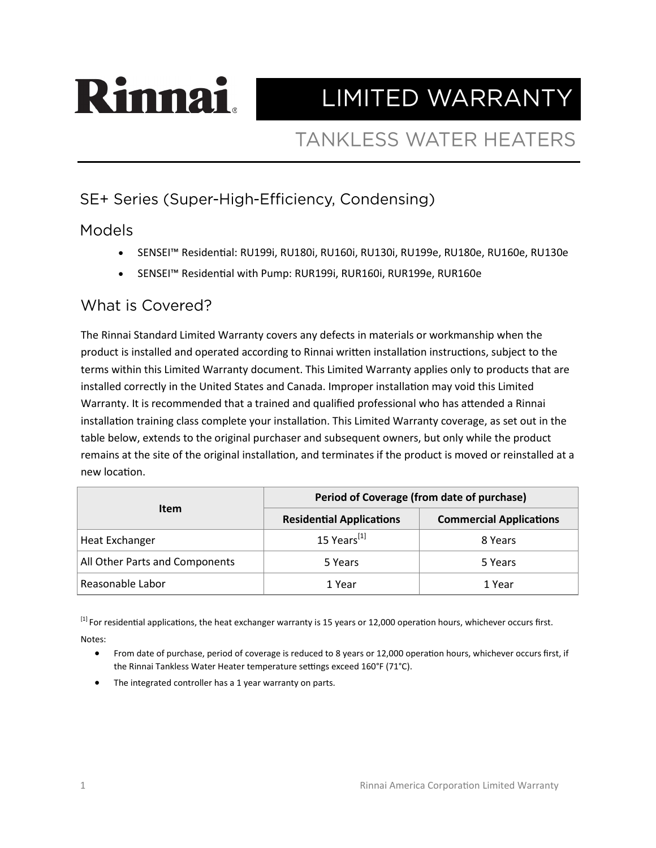# Rinnan LIMITED WARRANTY

## **TANKLESS WATER HEATERS**

### SE+ Series (Super-High-Efficiency, Condensing)

#### **Models**

- SENSEI™ Residential: RU199i, RU180i, RU160i, RU130i, RU199e, RU180e, RU160e, RU130e
- SENSEI™ Residential with Pump: RUR199i, RUR160i, RUR199e, RUR160e

#### What is Covered?

The Rinnai Standard Limited Warranty covers any defects in materials or workmanship when the product is installed and operated according to Rinnai written installation instructions, subject to the terms within this Limited Warranty document. This Limited Warranty applies only to products that are installed correctly in the United States and Canada. Improper installation may void this Limited Warranty. It is recommended that a trained and qualified professional who has attended a Rinnai installation training class complete your installation. This Limited Warranty coverage, as set out in the table below, extends to the original purchaser and subsequent owners, but only while the product remains at the site of the original installation, and terminates if the product is moved or reinstalled at a new location.

| <b>Item</b>                    | Period of Coverage (from date of purchase) |                                |
|--------------------------------|--------------------------------------------|--------------------------------|
|                                | <b>Residential Applications</b>            | <b>Commercial Applications</b> |
| Heat Exchanger                 | 15 Years <sup>[1]</sup>                    | 8 Years                        |
| All Other Parts and Components | 5 Years                                    | 5 Years                        |
| Reasonable Labor               | 1 Year                                     | 1 Year                         |

<sup>[1]</sup> For residential applications, the heat exchanger warranty is 15 years or 12,000 operation hours, whichever occurs first. Notes:

• From date of purchase, period of coverage is reduced to 8 years or 12,000 operation hours, whichever occurs first, if the Rinnai Tankless Water Heater temperature settings exceed 160°F (71°C).

The integrated controller has a 1 year warranty on parts.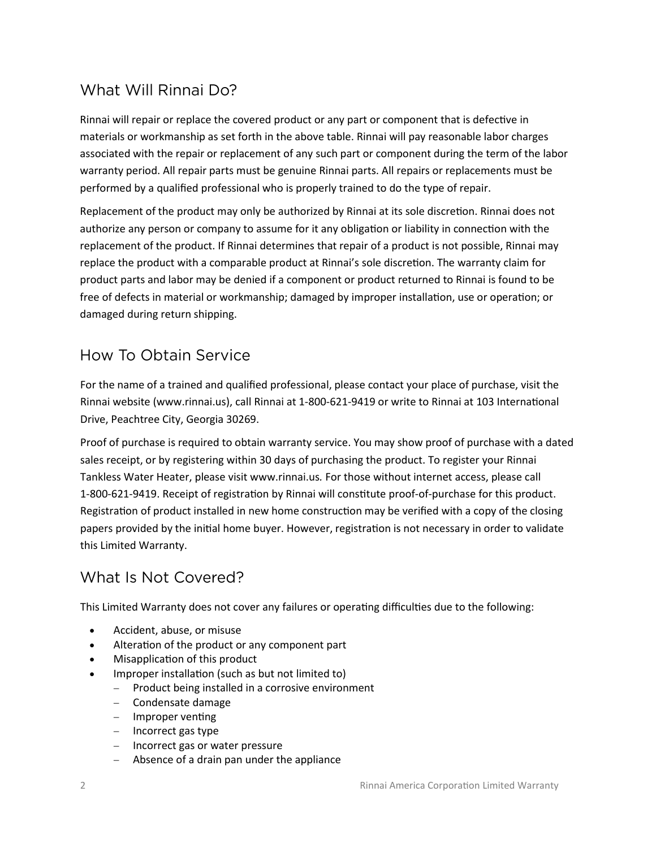#### What Will Rinnai Do?

Rinnai will repair or replace the covered product or any part or component that is defective in materials or workmanship as set forth in the above table. Rinnai will pay reasonable labor charges associated with the repair or replacement of any such part or component during the term of the labor warranty period. All repair parts must be genuine Rinnai parts. All repairs or replacements must be performed by a qualified professional who is properly trained to do the type of repair.

Replacement of the product may only be authorized by Rinnai at its sole discretion. Rinnai does not authorize any person or company to assume for it any obligation or liability in connection with the replacement of the product. If Rinnai determines that repair of a product is not possible, Rinnai may replace the product with a comparable product at Rinnai's sole discretion. The warranty claim for product parts and labor may be denied if a component or product returned to Rinnai is found to be free of defects in material or workmanship; damaged by improper installation, use or operation; or damaged during return shipping.

#### How To Obtain Service

For the name of a trained and qualified professional, please contact your place of purchase, visit the Rinnai website (www.rinnai.us), call Rinnai at 1-800-621-9419 or write to Rinnai at 103 International Drive, Peachtree City, Georgia 30269.

Proof of purchase is required to obtain warranty service. You may show proof of purchase with a dated sales receipt, or by registering within 30 days of purchasing the product. To register your Rinnai Tankless Water Heater, please visit www.rinnai.us*.* For those without internet access, please call 1-800-621-9419. Receipt of registration by Rinnai will constitute proof-of-purchase for this product. Registration of product installed in new home construction may be verified with a copy of the closing papers provided by the initial home buyer. However, registration is not necessary in order to validate this Limited Warranty.

#### What Is Not Covered?

This Limited Warranty does not cover any failures or operating difficulties due to the following:

- Accident, abuse, or misuse
- Alteration of the product or any component part
- Misapplication of this product
- Improper installation (such as but not limited to)
	- − Product being installed in a corrosive environment
	- − Condensate damage
	- − Improper venting
	- − Incorrect gas type
	- − Incorrect gas or water pressure
	- − Absence of a drain pan under the appliance